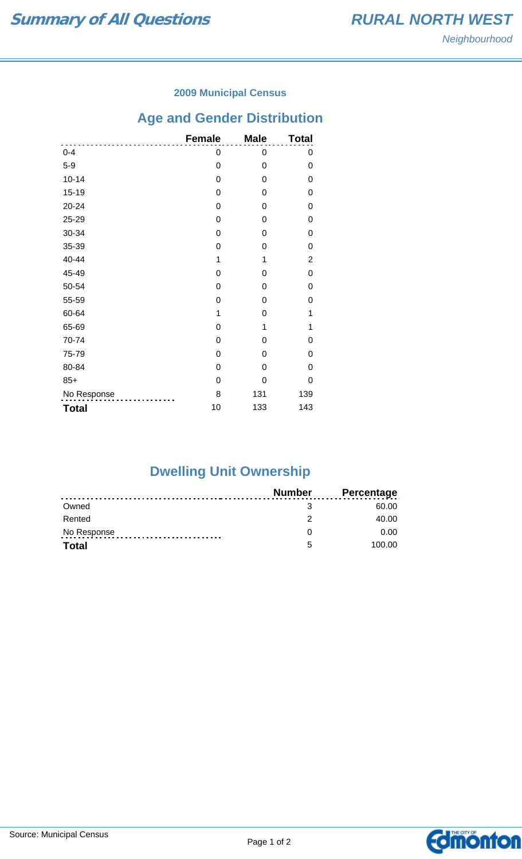### **2009 Municipal Census**

# **Age and Gender Distribution**

|              | <b>Female</b> | <b>Male</b> | <b>Total</b>   |
|--------------|---------------|-------------|----------------|
| $0 - 4$      | 0             | 0           | 0              |
| $5-9$        | 0             | 0           | 0              |
| $10 - 14$    | 0             | 0           | 0              |
| $15 - 19$    | 0             | 0           | 0              |
| $20 - 24$    | 0             | 0           | 0              |
| 25-29        | 0             | 0           | 0              |
| 30-34        | 0             | 0           | 0              |
| 35-39        | 0             | 0           | 0              |
| 40-44        | 1             | 1           | $\overline{2}$ |
| 45-49        | 0             | 0           | 0              |
| 50-54        | 0             | 0           | $\Omega$       |
| 55-59        | 0             | 0           | 0              |
| 60-64        | 1             | 0           | 1              |
| 65-69        | 0             | 1           | 1              |
| 70-74        | 0             | 0           | 0              |
| 75-79        | 0             | 0           | 0              |
| 80-84        | 0             | 0           | 0              |
| $85+$        | 0             | 0           | 0              |
| No Response  | 8             | 131         | 139            |
| <b>Total</b> | 10            | 133         | 143            |

# **Dwelling Unit Ownership**

|              | <b>Number</b> | <b>Percentage</b> |
|--------------|---------------|-------------------|
| Owned        |               | 60.00             |
| Rented       |               | 40.00             |
| No Response  |               | 0.00              |
| <b>Total</b> | 5             | 100.00            |